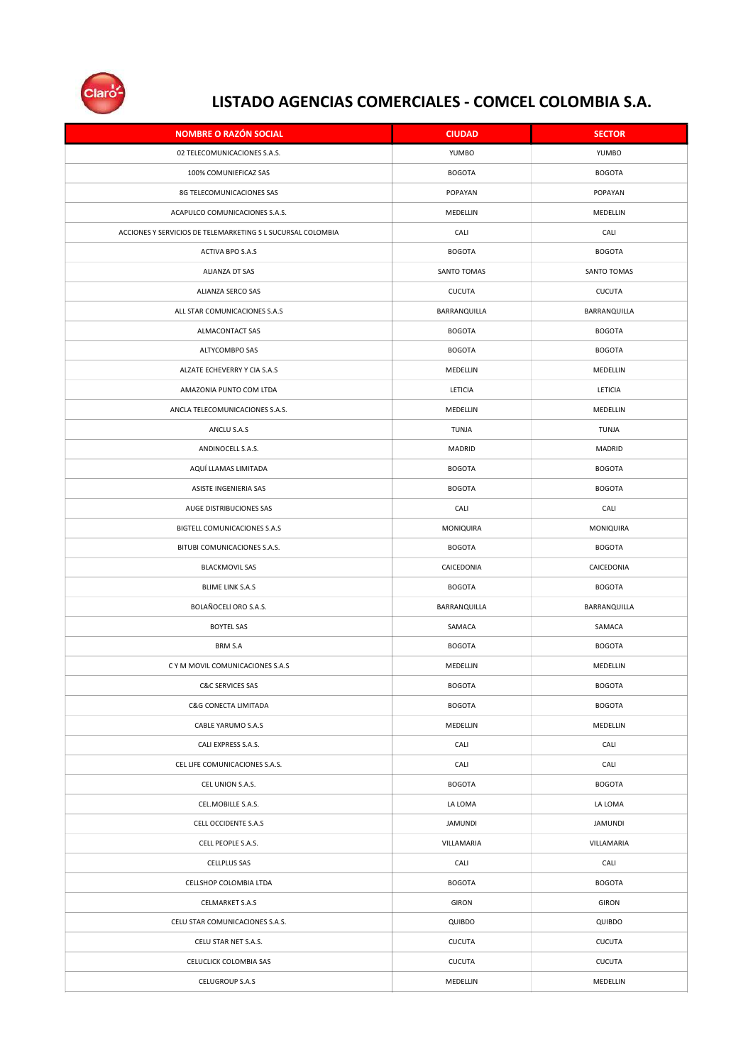

| <b>NOMBRE O RAZÓN SOCIAL</b>                                | <b>CIUDAD</b>  | <b>SECTOR</b>  |
|-------------------------------------------------------------|----------------|----------------|
| 02 TELECOMUNICACIONES S.A.S.                                | YUMBO          | YUMBO          |
| 100% COMUNIEFICAZ SAS                                       | <b>BOGOTA</b>  | <b>BOGOTA</b>  |
| 8G TELECOMUNICACIONES SAS                                   | POPAYAN        | POPAYAN        |
| ACAPULCO COMUNICACIONES S.A.S.                              | MEDELLIN       | MEDELLIN       |
| ACCIONES Y SERVICIOS DE TELEMARKETING S L SUCURSAL COLOMBIA | CALI           | CALI           |
| ACTIVA BPO S.A.S                                            | <b>BOGOTA</b>  | <b>BOGOTA</b>  |
| ALIANZA DT SAS                                              | SANTO TOMAS    | SANTO TOMAS    |
| ALIANZA SERCO SAS                                           | <b>CUCUTA</b>  | <b>CUCUTA</b>  |
| ALL STAR COMUNICACIONES S.A.S                               | BARRANQUILLA   | BARRANQUILLA   |
| ALMACONTACT SAS                                             | <b>BOGOTA</b>  | <b>BOGOTA</b>  |
| ALTYCOMBPO SAS                                              | <b>BOGOTA</b>  | <b>BOGOTA</b>  |
| ALZATE ECHEVERRY Y CIA S.A.S                                | MEDELLIN       | MEDELLIN       |
| AMAZONIA PUNTO COM LTDA                                     | LETICIA        | LETICIA        |
| ANCLA TELECOMUNICACIONES S.A.S.                             | MEDELLIN       | MEDELLIN       |
| ANCLU S.A.S                                                 | TUNJA          | TUNJA          |
| ANDINOCELL S.A.S.                                           | MADRID         | MADRID         |
| AQUÍ LLAMAS LIMITADA                                        | <b>BOGOTA</b>  | <b>BOGOTA</b>  |
| ASISTE INGENIERIA SAS                                       | <b>BOGOTA</b>  | <b>BOGOTA</b>  |
| AUGE DISTRIBUCIONES SAS                                     | CALI           | CALI           |
| BIGTELL COMUNICACIONES S.A.S                                | MONIQUIRA      | MONIQUIRA      |
| BITUBI COMUNICACIONES S.A.S.                                | <b>BOGOTA</b>  | <b>BOGOTA</b>  |
| <b>BLACKMOVIL SAS</b>                                       | CAICEDONIA     | CAICEDONIA     |
| <b>BLIME LINK S.A.S</b>                                     | <b>BOGOTA</b>  | <b>BOGOTA</b>  |
| BOLAÑOCELI ORO S.A.S.                                       | BARRANQUILLA   | BARRANQUILLA   |
| <b>BOYTEL SAS</b>                                           | SAMACA         | SAMACA         |
| BRM S.A                                                     | <b>BOGOTA</b>  | <b>BOGOTA</b>  |
| C Y M MOVIL COMUNICACIONES S.A.S                            | MEDELLIN       | MEDELLIN       |
| <b>C&amp;C SERVICES SAS</b>                                 | <b>BOGOTA</b>  | <b>BOGOTA</b>  |
| C&G CONECTA LIMITADA                                        | <b>BOGOTA</b>  | <b>BOGOTA</b>  |
| CABLE YARUMO S.A.S                                          | MEDELLIN       | MEDELLIN       |
| CALI EXPRESS S.A.S.                                         | CALI           | CALI           |
| CEL LIFE COMUNICACIONES S.A.S.                              | CALI           | CALI           |
| CEL UNION S.A.S.                                            | <b>BOGOTA</b>  | <b>BOGOTA</b>  |
| CEL.MOBILLE S.A.S.                                          | LA LOMA        | LA LOMA        |
| CELL OCCIDENTE S.A.S                                        | <b>JAMUNDI</b> | <b>JAMUNDI</b> |
| CELL PEOPLE S.A.S.                                          | VILLAMARIA     | VILLAMARIA     |
| CELLPLUS SAS                                                | CALI           | CALI           |
| CELLSHOP COLOMBIA LTDA                                      | <b>BOGOTA</b>  | <b>BOGOTA</b>  |
| <b>CELMARKET S.A.S</b>                                      | <b>GIRON</b>   | <b>GIRON</b>   |
| CELU STAR COMUNICACIONES S.A.S.                             | QUIBDO         | QUIBDO         |
| CELU STAR NET S.A.S.                                        | <b>CUCUTA</b>  | CUCUTA         |
| CELUCLICK COLOMBIA SAS                                      | <b>CUCUTA</b>  | <b>CUCUTA</b>  |
| CELUGROUP S.A.S                                             | MEDELLIN       | MEDELLIN       |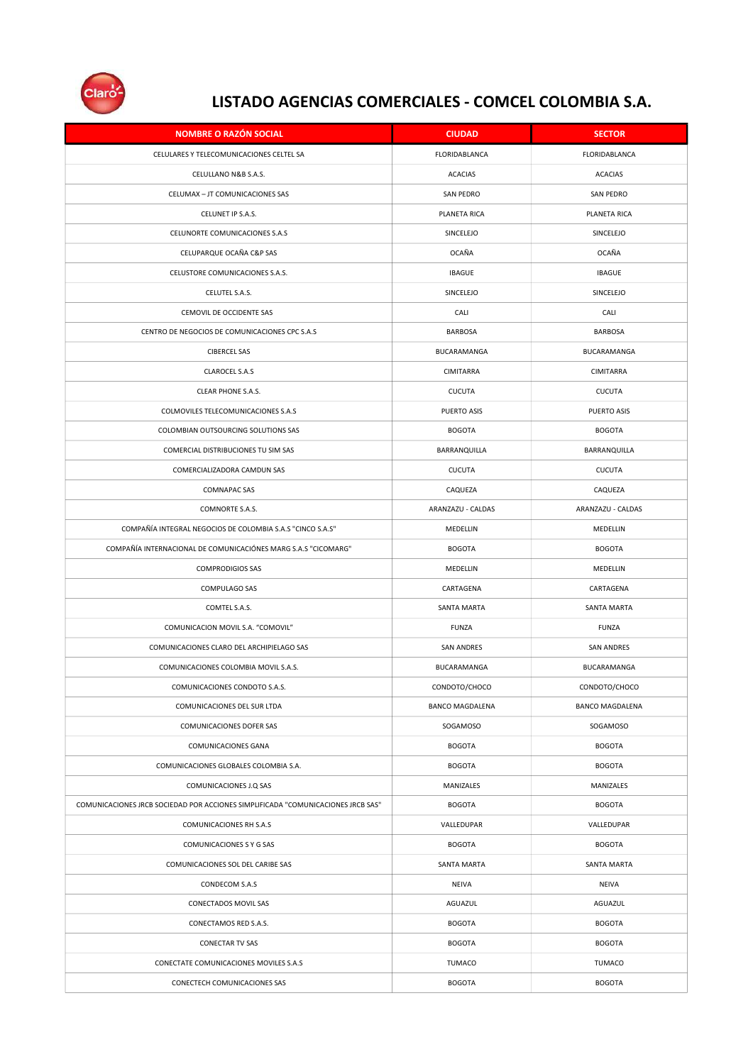

| <b>NOMBRE O RAZON SOCIAL</b>                                                     | <b>CIUDAD</b>          | <b>SECTOR</b>     |
|----------------------------------------------------------------------------------|------------------------|-------------------|
| CELULARES Y TELECOMUNICACIONES CELTEL SA                                         | FLORIDABLANCA          | FLORIDABLANCA     |
| CELULLANO N&B S.A.S.                                                             | <b>ACACIAS</b>         | <b>ACACIAS</b>    |
| CELUMAX - JT COMUNICACIONES SAS                                                  | <b>SAN PEDRO</b>       | <b>SAN PEDRO</b>  |
| CELUNET IP S.A.S.                                                                | PLANETA RICA           | PLANETA RICA      |
| CELUNORTE COMUNICACIONES S.A.S                                                   | SINCELEJO              | SINCELEJO         |
| CELUPARQUE OCAÑA C&P SAS                                                         | OCAÑA                  | OCAÑA             |
| CELUSTORE COMUNICACIONES S.A.S.                                                  | <b>IBAGUE</b>          | <b>IBAGUE</b>     |
| CELUTEL S.A.S.                                                                   | SINCELEJO              | SINCELEJO         |
| CEMOVIL DE OCCIDENTE SAS                                                         | CALI                   | CALI              |
| CENTRO DE NEGOCIOS DE COMUNICACIONES CPC S.A.S                                   | <b>BARBOSA</b>         | <b>BARBOSA</b>    |
| <b>CIBERCEL SAS</b>                                                              | BUCARAMANGA            | BUCARAMANGA       |
| CLAROCEL S.A.S                                                                   | CIMITARRA              | CIMITARRA         |
| CLEAR PHONE S.A.S.                                                               | <b>CUCUTA</b>          | <b>CUCUTA</b>     |
| COLMOVILES TELECOMUNICACIONES S.A.S                                              | PUERTO ASIS            | PUERTO ASIS       |
| COLOMBIAN OUTSOURCING SOLUTIONS SAS                                              | <b>BOGOTA</b>          | <b>BOGOTA</b>     |
| COMERCIAL DISTRIBUCIONES TU SIM SAS                                              | BARRANQUILLA           | BARRANQUILLA      |
| COMERCIALIZADORA CAMDUN SAS                                                      | <b>CUCUTA</b>          | <b>CUCUTA</b>     |
| <b>COMNAPAC SAS</b>                                                              | CAQUEZA                | CAQUEZA           |
| COMNORTE S.A.S.                                                                  | ARANZAZU - CALDAS      | ARANZAZU - CALDAS |
| COMPAÑÍA INTEGRAL NEGOCIOS DE COLOMBIA S.A.S "CINCO S.A.S"                       | MEDELLIN               | MEDELLIN          |
| COMPAÑÍA INTERNACIONAL DE COMUNICACIÓNES MARG S.A.S "CICOMARG"                   | <b>BOGOTA</b>          | <b>BOGOTA</b>     |
| <b>COMPRODIGIOS SAS</b>                                                          | MEDELLIN               | MEDELLIN          |
| COMPULAGO SAS                                                                    | CARTAGENA              | CARTAGENA         |
| COMTEL S.A.S.                                                                    | SANTA MARTA            | SANTA MARTA       |
| COMUNICACION MOVIL S.A. "COMOVIL"                                                | <b>FUNZA</b>           | FUNZA             |
| COMUNICACIONES CLARO DEL ARCHIPIELAGO SAS                                        | <b>SAN ANDRES</b>      | <b>SAN ANDRES</b> |
| COMUNICACIONES COLOMBIA MOVIL S.A.S.                                             | BUCARAMANGA            | BUCARAMANGA       |
| COMUNICACIONES CONDOTO S.A.S.                                                    | CONDOTO/CHOCO          | СОМДОТО/СНОСО     |
| COMUNICACIONES DEL SUR LTDA                                                      | <b>BANCO MAGDALENA</b> | BANCO MAGDALENA   |
| COMUNICACIONES DOFER SAS                                                         | SOGAMOSO               | SOGAMOSO          |
| COMUNICACIONES GANA                                                              | <b>BOGOTA</b>          | <b>BOGOTA</b>     |
| COMUNICACIONES GLOBALES COLOMBIA S.A.                                            | <b>BOGOTA</b>          | <b>BOGOTA</b>     |
| COMUNICACIONES J.Q SAS                                                           | MANIZALES              | MANIZALES         |
| COMUNICACIONES JRCB SOCIEDAD POR ACCIONES SIMPLIFICADA "COMUNICACIONES JRCB SAS" | <b>BOGOTA</b>          | <b>BOGOTA</b>     |
| COMUNICACIONES RH S.A.S                                                          | VALLEDUPAR             | VALLEDUPAR        |
| COMUNICACIONES S Y G SAS                                                         | <b>BOGOTA</b>          | <b>BOGOTA</b>     |
| COMUNICACIONES SOL DEL CARIBE SAS                                                | SANTA MARTA            | SANTA MARTA       |
| CONDECOM S.A.S                                                                   | <b>NEIVA</b>           | <b>NEIVA</b>      |
| CONECTADOS MOVIL SAS                                                             | AGUAZUL                | AGUAZUL           |
| CONECTAMOS RED S.A.S.                                                            | <b>BOGOTA</b>          | <b>BOGOTA</b>     |
| <b>CONECTAR TV SAS</b>                                                           | <b>BOGOTA</b>          | <b>BOGOTA</b>     |
| CONECTATE COMUNICACIONES MOVILES S.A.S                                           | TUMACO                 | <b>TUMACO</b>     |
| CONECTECH COMUNICACIONES SAS                                                     | <b>BOGOTA</b>          | <b>BOGOTA</b>     |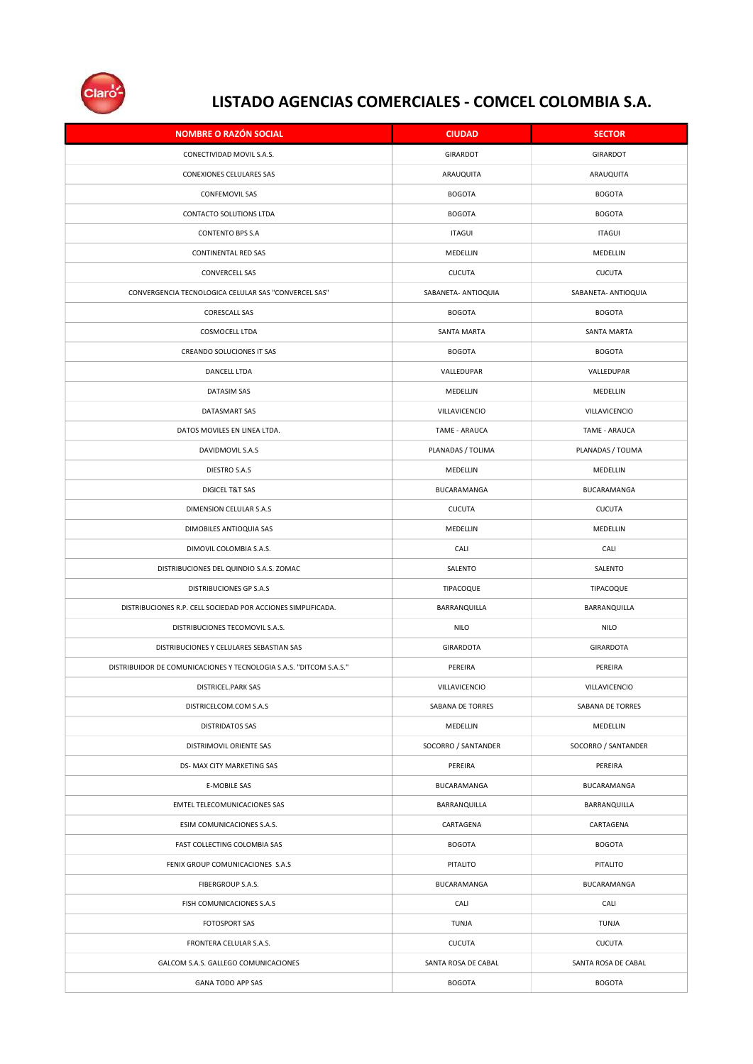

| <b>NOMBRE O RAZÓN SOCIAL</b>                                       | <b>CIUDAD</b>       | <b>SECTOR</b>       |
|--------------------------------------------------------------------|---------------------|---------------------|
| CONECTIVIDAD MOVIL S.A.S.                                          | GIRARDOT            | <b>GIRARDOT</b>     |
| CONEXIONES CELULARES SAS                                           | ARAUQUITA           | ARAUQUITA           |
| <b>CONFEMOVIL SAS</b>                                              | <b>BOGOTA</b>       | <b>BOGOTA</b>       |
| CONTACTO SOLUTIONS LTDA                                            | <b>BOGOTA</b>       | <b>BOGOTA</b>       |
| <b>CONTENTO BPS S.A</b>                                            | <b>ITAGUI</b>       | <b>ITAGUI</b>       |
| CONTINENTAL RED SAS                                                | MEDELLIN            | MEDELLIN            |
| <b>CONVERCELL SAS</b>                                              | <b>CUCUTA</b>       | <b>CUCUTA</b>       |
| CONVERGENCIA TECNOLOGICA CELULAR SAS "CONVERCEL SAS"               | SABANETA- ANTIOQUIA | SABANETA- ANTIOQUIA |
| CORESCALL SAS                                                      | <b>BOGOTA</b>       | <b>BOGOTA</b>       |
| COSMOCELL LTDA                                                     | SANTA MARTA         | SANTA MARTA         |
| CREANDO SOLUCIONES IT SAS                                          | <b>BOGOTA</b>       | <b>BOGOTA</b>       |
| DANCELL LTDA                                                       | VALLEDUPAR          | VALLEDUPAR          |
| DATASIM SAS                                                        | MEDELLIN            | MEDELLIN            |
| DATASMART SAS                                                      | VILLAVICENCIO       | VILLAVICENCIO       |
| DATOS MOVILES EN LINEA LTDA.                                       | TAME - ARAUCA       | TAME - ARAUCA       |
| DAVIDMOVIL S.A.S                                                   | PLANADAS / TOLIMA   | PLANADAS / TOLIMA   |
| DIESTRO S.A.S                                                      | MEDELLIN            | MEDELLIN            |
| DIGICEL T&T SAS                                                    | BUCARAMANGA         | BUCARAMANGA         |
| DIMENSION CELULAR S.A.S                                            | <b>CUCUTA</b>       | <b>CUCUTA</b>       |
| DIMOBILES ANTIOQUIA SAS                                            | MEDELLIN            | MEDELLIN            |
| DIMOVIL COLOMBIA S.A.S.                                            | CALI                | CALI                |
| DISTRIBUCIONES DEL QUINDIO S.A.S. ZOMAC                            | SALENTO             | SALENTO             |
| DISTRIBUCIONES GP S.A.S                                            | TIPACOQUE           | TIPACOQUE           |
| DISTRIBUCIONES R.P. CELL SOCIEDAD POR ACCIONES SIMPLIFICADA.       | BARRANQUILLA        | BARRANQUILLA        |
| DISTRIBUCIONES TECOMOVIL S.A.S.                                    | <b>NILO</b>         | <b>NILO</b>         |
| DISTRIBUCIONES Y CELULARES SEBASTIAN SAS                           | GIRARDOTA           | GIRARDOTA           |
| DISTRIBUIDOR DE COMUNICACIONES Y TECNOLOGIA S.A.S. "DITCOM S.A.S." | PEREIRA             | PEREIRA             |
| DISTRICEL.PARK SAS                                                 | VILLAVICENCIO       | VILLAVICENCIO       |
| DISTRICELCOM.COM S.A.S                                             | SABANA DE TORRES    | SABANA DE TORRES    |
| <b>DISTRIDATOS SAS</b>                                             | MEDELLIN            | MEDELLIN            |
| DISTRIMOVIL ORIENTE SAS                                            | SOCORRO / SANTANDER | SOCORRO / SANTANDER |
| DS- MAX CITY MARKETING SAS                                         | PEREIRA             | PEREIRA             |
| <b>E-MOBILE SAS</b>                                                | BUCARAMANGA         | BUCARAMANGA         |
| EMTEL TELECOMUNICACIONES SAS                                       | BARRANQUILLA        | BARRANQUILLA        |
| ESIM COMUNICACIONES S.A.S.                                         | CARTAGENA           | CARTAGENA           |
| FAST COLLECTING COLOMBIA SAS                                       | <b>BOGOTA</b>       | <b>BOGOTA</b>       |
| FENIX GROUP COMUNICACIONES S.A.S                                   | PITALITO            | PITALITO            |
| FIBERGROUP S.A.S.                                                  | BUCARAMANGA         | BUCARAMANGA         |
| FISH COMUNICACIONES S.A.S                                          | CALI                | CALI                |
| FOTOSPORT SAS                                                      | TUNJA               | TUNJA               |
| FRONTERA CELULAR S.A.S.                                            | <b>CUCUTA</b>       | <b>CUCUTA</b>       |
| GALCOM S.A.S. GALLEGO COMUNICACIONES                               | SANTA ROSA DE CABAL | SANTA ROSA DE CABAL |
| GANA TODO APP SAS                                                  | <b>BOGOTA</b>       | <b>BOGOTA</b>       |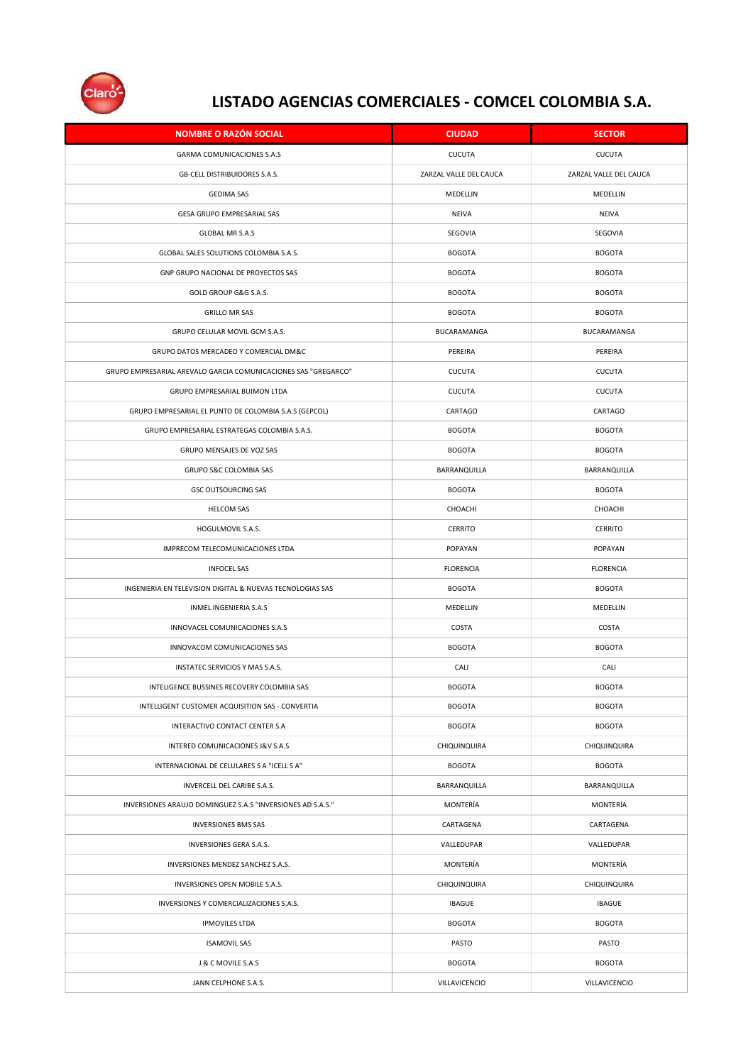

| <b>NOMBRE O RAZÓN SOCIAL</b>                                   | <b>CIUDAD</b>          | <b>SECTOR</b>          |
|----------------------------------------------------------------|------------------------|------------------------|
| GARMA COMUNICACIONES S.A.S                                     | <b>CUCUTA</b>          | <b>CUCUTA</b>          |
| GB-CELL DISTRIBUIDORES S.A.S.                                  | ZARZAL VALLE DEL CAUCA | ZARZAL VALLE DEL CAUCA |
| <b>GEDIMA SAS</b>                                              | MEDELLIN               | MEDELLIN               |
| GESA GRUPO EMPRESARIAL SAS                                     | <b>NEIVA</b>           | NEIVA                  |
| GLOBAL MR S.A.S                                                | SEGOVIA                | SEGOVIA                |
| GLOBAL SALES SOLUTIONS COLOMBIA S.A.S.                         | <b>BOGOTA</b>          | <b>BOGOTA</b>          |
| GNP GRUPO NACIONAL DE PROYECTOS SAS                            | <b>BOGOTA</b>          | <b>BOGOTA</b>          |
| GOLD GROUP G&G S.A.S.                                          | <b>BOGOTA</b>          | <b>BOGOTA</b>          |
| <b>GRILLO MR SAS</b>                                           | <b>BOGOTA</b>          | <b>BOGOTA</b>          |
| GRUPO CELULAR MOVIL GCM S.A.S.                                 | BUCARAMANGA            | BUCARAMANGA            |
| GRUPO DATOS MERCADEO Y COMERCIAL DM&C                          | PEREIRA                | PEREIRA                |
| GRUPO EMPRESARIAL AREVALO GARCIA COMUNICACIONES SAS "GREGARCO" | <b>CUCUTA</b>          | <b>CUCUTA</b>          |
| GRUPO EMPRESARIAL BUIMON LTDA                                  | <b>CUCUTA</b>          | <b>CUCUTA</b>          |
| GRUPO EMPRESARIAL EL PUNTO DE COLOMBIA S.A.S (GEPCOL)          | CARTAGO                | CARTAGO                |
| GRUPO EMPRESARIAL ESTRATEGAS COLOMBIA S.A.S.                   | <b>BOGOTA</b>          | <b>BOGOTA</b>          |
| GRUPO MENSAJES DE VOZ SAS                                      | <b>BOGOTA</b>          | <b>BOGOTA</b>          |
| GRUPO S&C COLOMBIA SAS                                         | BARRANQUILLA           | BARRANQUILLA           |
| <b>GSC OUTSOURCING SAS</b>                                     | <b>BOGOTA</b>          | <b>BOGOTA</b>          |
| <b>HELCOM SAS</b>                                              | CHOACHI                | CHOACHI                |
| HOGULMOVIL S.A.S.                                              | CERRITO                | CERRITO                |
| IMPRECOM TELECOMUNICACIONES LTDA                               | POPAYAN                | POPAYAN                |
| <b>INFOCEL SAS</b>                                             | <b>FLORENCIA</b>       | <b>FLORENCIA</b>       |
| INGENIERIA EN TELEVISION DIGITAL & NUEVAS TECNOLOGIAS SAS      | <b>BOGOTA</b>          | <b>BOGOTA</b>          |
| INMEL INGENIERIA S.A.S                                         | MEDELLIN               | MEDELLIN               |
| INNOVACEL COMUNICACIONES S.A.S                                 | COSTA                  | COSTA                  |
| INNOVACOM COMUNICACIONES SAS                                   | <b>BOGOTA</b>          | <b>BOGOTA</b>          |
| INSTATEC SERVICIOS Y MAS S.A.S.                                | CALI                   | CALI                   |
| INTELIGENCE BUSSINES RECOVERY COLOMBIA SAS                     | <b>BOGOTA</b>          | <b>BOGOTA</b>          |
| INTELLIGENT CUSTOMER ACQUISITION SAS - CONVERTIA               | <b>BOGOTA</b>          | <b>BOGOTA</b>          |
| INTERACTIVO CONTACT CENTER S.A                                 | <b>BOGOTA</b>          | <b>BOGOTA</b>          |
| INTERED COMUNICACIONES J&V S.A.S                               | CHIQUINQUIRA           | CHIQUINQUIRA           |
| INTERNACIONAL DE CELULARES S A "ICELL S A"                     | <b>BOGOTA</b>          | <b>BOGOTA</b>          |
| INVERCELL DEL CARIBE S.A.S.                                    | BARRANQUILLA           | BARRANQUILLA           |
| INVERSIONES ARAUJO DOMINGUEZ S.A.S "INVERSIONES AD S.A.S."     | MONTERÍA               | MONTERÍA               |
| <b>INVERSIONES BMS SAS</b>                                     | CARTAGENA              | CARTAGENA              |
| INVERSIONES GERA S.A.S.                                        | VALLEDUPAR             | VALLEDUPAR             |
| INVERSIONES MENDEZ SANCHEZ S.A.S.                              | MONTERÍA               | MONTERÍA               |
| INVERSIONES OPEN MOBILE S.A.S.                                 | CHIQUINQUIRA           | CHIQUINQUIRA           |
| INVERSIONES Y COMERCIALIZACIONES S.A.S.                        | <b>IBAGUE</b>          | <b>IBAGUE</b>          |
| <b>IPMOVILES LTDA</b>                                          | <b>BOGOTA</b>          | <b>BOGOTA</b>          |
| <b>ISAMOVIL SAS</b>                                            | PASTO                  | PASTO                  |
| J & C MOVILE S.A.S                                             | <b>BOGOTA</b>          | <b>BOGOTA</b>          |
| JANN CELPHONE S.A.S.                                           | VILLAVICENCIO          | VILLAVICENCIO          |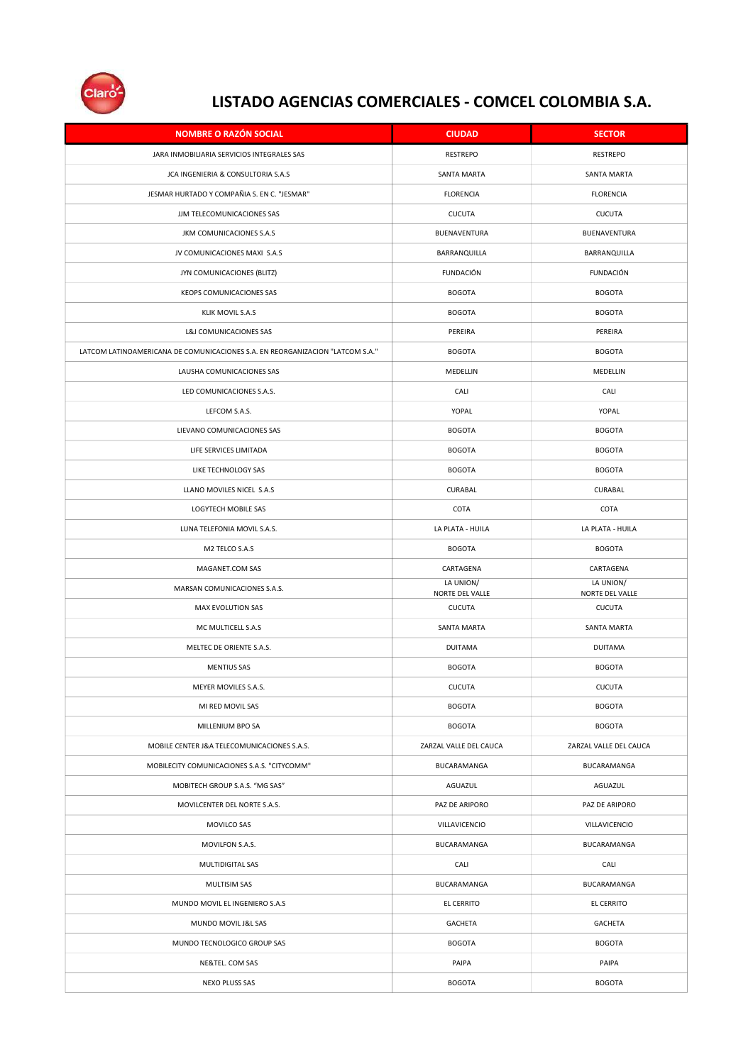

| <b>NOMBRE O RAZÓN SOCIAL</b>                                                  | <b>CIUDAD</b>                | <b>SECTOR</b>                |
|-------------------------------------------------------------------------------|------------------------------|------------------------------|
| JARA INMOBILIARIA SERVICIOS INTEGRALES SAS                                    | <b>RESTREPO</b>              | <b>RESTREPO</b>              |
| JCA INGENIERIA & CONSULTORIA S.A.S                                            | SANTA MARTA                  | SANTA MARTA                  |
| JESMAR HURTADO Y COMPAÑIA S. EN C. "JESMAR"                                   | <b>FLORENCIA</b>             | <b>FLORENCIA</b>             |
| JJM TELECOMUNICACIONES SAS                                                    | <b>CUCUTA</b>                | CUCUTA                       |
| JKM COMUNICACIONES S.A.S                                                      | BUENAVENTURA                 | BUENAVENTURA                 |
| JV COMUNICACIONES MAXI S.A.S                                                  | BARRANQUILLA                 | BARRANQUILLA                 |
| JYN COMUNICACIONES (BLITZ)                                                    | <b>FUNDACIÓN</b>             | <b>FUNDACIÓN</b>             |
| KEOPS COMUNICACIONES SAS                                                      | <b>BOGOTA</b>                | <b>BOGOTA</b>                |
| KLIK MOVIL S.A.S                                                              | <b>BOGOTA</b>                | <b>BOGOTA</b>                |
| L&J COMUNICACIONES SAS                                                        | PEREIRA                      | PEREIRA                      |
| LATCOM LATINOAMERICANA DE COMUNICACIONES S.A. EN REORGANIZACION "LATCOM S.A." | <b>BOGOTA</b>                | <b>BOGOTA</b>                |
| LAUSHA COMUNICACIONES SAS                                                     | MEDELLIN                     | MEDELLIN                     |
| LED COMUNICACIONES S.A.S.                                                     | CALI                         | CALI                         |
| LEFCOM S.A.S.                                                                 | YOPAL                        | YOPAL                        |
| LIEVANO COMUNICACIONES SAS                                                    | <b>BOGOTA</b>                | <b>BOGOTA</b>                |
| LIFE SERVICES LIMITADA                                                        | <b>BOGOTA</b>                | <b>BOGOTA</b>                |
| LIKE TECHNOLOGY SAS                                                           | <b>BOGOTA</b>                | <b>BOGOTA</b>                |
| LLANO MOVILES NICEL S.A.S                                                     | CURABAL                      | CURABAL                      |
| LOGYTECH MOBILE SAS                                                           | COTA                         | COTA                         |
| LUNA TELEFONIA MOVIL S.A.S.                                                   | LA PLATA - HUILA             | LA PLATA - HUILA             |
| M2 TELCO S.A.S                                                                | <b>BOGOTA</b>                | <b>BOGOTA</b>                |
| MAGANET.COM SAS                                                               | CARTAGENA                    | CARTAGENA                    |
| MARSAN COMUNICACIONES S.A.S.                                                  | LA UNION/<br>NORTE DEL VALLE | LA UNION/<br>NORTE DEL VALLE |
| MAX EVOLUTION SAS                                                             | <b>CUCUTA</b>                | <b>CUCUTA</b>                |
| MC MULTICELL S.A.S                                                            | SANTA MARTA                  | <b>SANTA MARTA</b>           |
| MELTEC DE ORIENTE S.A.S.                                                      | <b>DUITAMA</b>               | <b>DUITAMA</b>               |
| <b>MENTIUS SAS</b>                                                            | <b>BOGOTA</b>                | <b>BOGOTA</b>                |
| MEYER MOVILES S.A.S.                                                          | <b>CUCUTA</b>                | <b>CUCUTA</b>                |
| MI RED MOVIL SAS                                                              | <b>BOGOTA</b>                | <b>BOGOTA</b>                |
| MILLENIUM BPO SA                                                              | <b>BOGOTA</b>                | <b>BOGOTA</b>                |
| MOBILE CENTER J&A TELECOMUNICACIONES S.A.S.                                   | ZARZAL VALLE DEL CAUCA       | ZARZAL VALLE DEL CAUCA       |
| MOBILECITY COMUNICACIONES S.A.S. "CITYCOMM"                                   | BUCARAMANGA                  | BUCARAMANGA                  |
| MOBITECH GROUP S.A.S. "MG SAS"                                                | AGUAZUL                      | AGUAZUL                      |
| MOVILCENTER DEL NORTE S.A.S.                                                  | PAZ DE ARIPORO               | PAZ DE ARIPORO               |
| MOVILCO SAS                                                                   | VILLAVICENCIO                | VILLAVICENCIO                |
| MOVILFON S.A.S.                                                               | BUCARAMANGA                  | BUCARAMANGA                  |
| MULTIDIGITAL SAS                                                              | CALI                         | CALI                         |
| MULTISIM SAS                                                                  | BUCARAMANGA                  | BUCARAMANGA                  |
| MUNDO MOVIL EL INGENIERO S.A.S                                                | EL CERRITO                   | EL CERRITO                   |
| MUNDO MOVIL J&L SAS                                                           | <b>GACHETA</b>               | <b>GACHETA</b>               |
| MUNDO TECNOLOGICO GROUP SAS                                                   | <b>BOGOTA</b>                | <b>BOGOTA</b>                |
| NE&TEL. COM SAS                                                               | PAIPA                        | PAIPA                        |
| NEXO PLUSS SAS                                                                | <b>BOGOTA</b>                | <b>BOGOTA</b>                |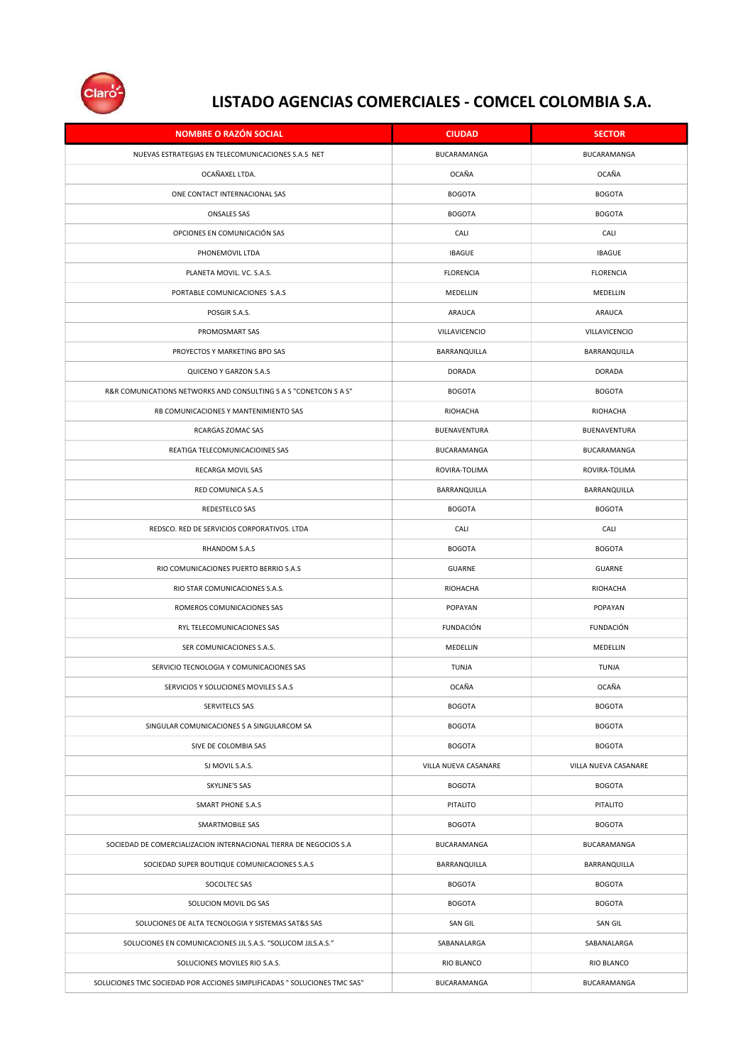

| <b>NOMBRE O RAZÓN SOCIAL</b>                                             | <b>CIUDAD</b>        | <b>SECTOR</b>        |
|--------------------------------------------------------------------------|----------------------|----------------------|
| NUEVAS ESTRATEGIAS EN TELECOMUNICACIONES S.A.S NET                       | BUCARAMANGA          | BUCARAMANGA          |
| OCAÑAXEL LTDA.                                                           | OCAÑA                | OCAÑA                |
| ONE CONTACT INTERNACIONAL SAS                                            | <b>BOGOTA</b>        | <b>BOGOTA</b>        |
| <b>ONSALES SAS</b>                                                       | <b>BOGOTA</b>        | <b>BOGOTA</b>        |
| OPCIONES EN COMUNICACIÓN SAS                                             | CALI                 | CALI                 |
| PHONEMOVIL LTDA                                                          | <b>IBAGUE</b>        | <b>IBAGUE</b>        |
| PLANETA MOVIL. VC. S.A.S.                                                | <b>FLORENCIA</b>     | <b>FLORENCIA</b>     |
| PORTABLE COMUNICACIONES S.A.S                                            | MEDELLIN             | MEDELLIN             |
| POSGIR S.A.S.                                                            | ARAUCA               | ARAUCA               |
| PROMOSMART SAS                                                           | VILLAVICENCIO        | VILLAVICENCIO        |
| PROYECTOS Y MARKETING BPO SAS                                            | BARRANQUILLA         | BARRANQUILLA         |
| QUICENO Y GARZON S.A.S                                                   | <b>DORADA</b>        | <b>DORADA</b>        |
| R&R COMUNICATIONS NETWORKS AND CONSULTING S A S "CONETCON S A S"         | <b>BOGOTA</b>        | <b>BOGOTA</b>        |
| RB COMUNICACIONES Y MANTENIMIENTO SAS                                    | RIOHACHA             | RIOHACHA             |
| RCARGAS ZOMAC SAS                                                        | BUENAVENTURA         | BUENAVENTURA         |
| REATIGA TELECOMUNICACIOINES SAS                                          | BUCARAMANGA          | BUCARAMANGA          |
| RECARGA MOVIL SAS                                                        | ROVIRA-TOLIMA        | ROVIRA-TOLIMA        |
| RED COMUNICA S.A.S                                                       | BARRANQUILLA         | BARRANQUILLA         |
| REDESTELCO SAS                                                           | <b>BOGOTA</b>        | <b>BOGOTA</b>        |
| REDSCO. RED DE SERVICIOS CORPORATIVOS. LTDA                              | CALI                 | CALI                 |
| RHANDOM S.A.S                                                            | <b>BOGOTA</b>        | <b>BOGOTA</b>        |
| RIO COMUNICACIONES PUERTO BERRIO S.A.S                                   | GUARNE               | GUARNE               |
| RIO STAR COMUNICACIONES S.A.S.                                           | RIOHACHA             | RIOHACHA             |
| ROMEROS COMUNICACIONES SAS                                               | POPAYAN              | POPAYAN              |
| RYL TELECOMUNICACIONES SAS                                               | <b>FUNDACIÓN</b>     | <b>FUNDACIÓN</b>     |
| SER COMUNICACIONES S.A.S.                                                | MEDELLIN             | MEDELLIN             |
| SERVICIO TECNOLOGIA Y COMUNICACIONES SAS                                 | TUNJA                | TUNJA                |
| SERVICIOS Y SOLUCIONES MOVILES S.A.S                                     | OCAÑA                | OCAÑA                |
| SERVITELCS SAS                                                           | <b>BOGOTA</b>        | <b>BOGOTA</b>        |
| SINGULAR COMUNICACIONES S A SINGULARCOM SA                               | <b>BOGOTA</b>        | <b>BOGOTA</b>        |
| SIVE DE COLOMBIA SAS                                                     | <b>BOGOTA</b>        | <b>BOGOTA</b>        |
| SJ MOVIL S.A.S.                                                          | VILLA NUEVA CASANARE | VILLA NUEVA CASANARE |
| <b>SKYLINE'S SAS</b>                                                     | <b>BOGOTA</b>        | <b>BOGOTA</b>        |
| <b>SMART PHONE S.A.S</b>                                                 | PITALITO             | PITALITO             |
| SMARTMOBILE SAS                                                          | <b>BOGOTA</b>        | <b>BOGOTA</b>        |
| SOCIEDAD DE COMERCIALIZACION INTERNACIONAL TIERRA DE NEGOCIOS S.A        | BUCARAMANGA          | BUCARAMANGA          |
| SOCIEDAD SUPER BOUTIQUE COMUNICACIONES S.A.S                             | BARRANQUILLA         | BARRANQUILLA         |
| SOCOLTEC SAS                                                             | <b>BOGOTA</b>        | <b>BOGOTA</b>        |
| SOLUCION MOVIL DG SAS                                                    | <b>BOGOTA</b>        | <b>BOGOTA</b>        |
| SOLUCIONES DE ALTA TECNOLOGIA Y SISTEMAS SAT&S SAS                       | SAN GIL              | SAN GIL              |
| SOLUCIONES EN COMUNICACIONES JJL S.A.S. "SOLUCOM JJLS.A.S."              | SABANALARGA          | SABANALARGA          |
| SOLUCIONES MOVILES RIO S.A.S.                                            | RIO BLANCO           | RIO BLANCO           |
| SOLUCIONES TMC SOCIEDAD POR ACCIONES SIMPLIFICADAS " SOLUCIONES TMC SAS" | BUCARAMANGA          | BUCARAMANGA          |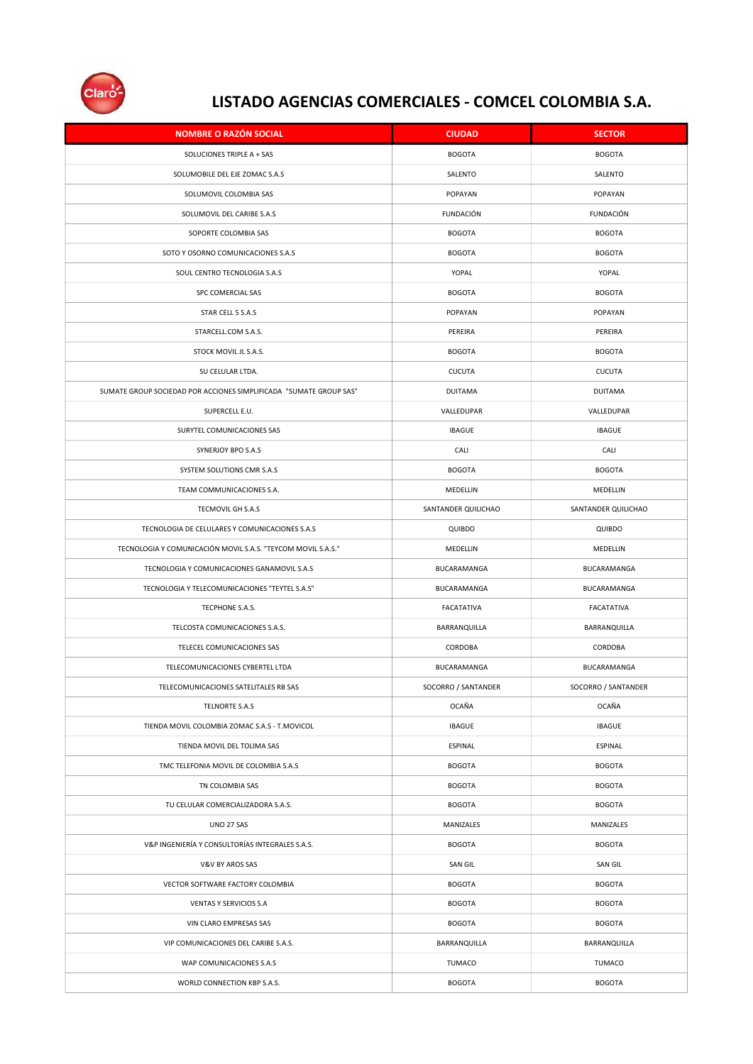

| <b>NOMBRE O RAZÓN SOCIAL</b>                                       | <b>CIUDAD</b>       | <b>SECTOR</b>       |
|--------------------------------------------------------------------|---------------------|---------------------|
| SOLUCIONES TRIPLE A + SAS                                          | <b>BOGOTA</b>       | <b>BOGOTA</b>       |
| SOLUMOBILE DEL EJE ZOMAC S.A.S                                     | SALENTO             | SALENTO             |
| SOLUMOVIL COLOMBIA SAS                                             | POPAYAN             | POPAYAN             |
| SOLUMOVIL DEL CARIBE S.A.S                                         | <b>FUNDACIÓN</b>    | <b>FUNDACIÓN</b>    |
| SOPORTE COLOMBIA SAS                                               | <b>BOGOTA</b>       | <b>BOGOTA</b>       |
| SOTO Y OSORNO COMUNICACIONES S.A.S                                 | <b>BOGOTA</b>       | <b>BOGOTA</b>       |
| SOUL CENTRO TECNOLOGIA S.A.S                                       | YOPAL               | YOPAL               |
| SPC COMERCIAL SAS                                                  | <b>BOGOTA</b>       | <b>BOGOTA</b>       |
| STAR CELL 5 S.A.S                                                  | POPAYAN             | POPAYAN             |
| STARCELL.COM S.A.S.                                                | PEREIRA             | PEREIRA             |
| STOCK MOVIL JL S.A.S.                                              | <b>BOGOTA</b>       | <b>BOGOTA</b>       |
| SU CELULAR LTDA.                                                   | <b>CUCUTA</b>       | <b>CUCUTA</b>       |
| SUMATE GROUP SOCIEDAD POR ACCIONES SIMPLIFICADA "SUMATE GROUP SAS" | <b>DUITAMA</b>      | <b>DUITAMA</b>      |
| SUPERCELL E.U.                                                     | VALLEDUPAR          | VALLEDUPAR          |
| SURYTEL COMUNICACIONES SAS                                         | <b>IBAGUE</b>       | <b>IBAGUE</b>       |
| SYNERJOY BPO S.A.S                                                 | CALI                | CALI                |
| SYSTEM SOLUTIONS CMR S.A.S                                         | <b>BOGOTA</b>       | <b>BOGOTA</b>       |
| TEAM COMMUNICACIONES S.A.                                          | MEDELLIN            | MEDELLIN            |
| TECMOVIL GH S.A.S                                                  | SANTANDER QUILICHAO | SANTANDER QUILICHAO |
| TECNOLOGIA DE CELULARES Y COMUNICACIONES S.A.S                     | QUIBDO              | QUIBDO              |
| TECNOLOGIA Y COMUNICACIÓN MOVIL S.A.S. "TEYCOM MOVIL S.A.S."       | MEDELLIN            | MEDELLIN            |
| TECNOLOGIA Y COMUNICACIONES GANAMOVIL S.A.S                        | BUCARAMANGA         | BUCARAMANGA         |
| TECNOLOGIA Y TELECOMUNICACIONES "TEYTEL S.A.S"                     | BUCARAMANGA         | BUCARAMANGA         |
| TECPHONE S.A.S.                                                    | FACATATIVA          | FACATATIVA          |
| TELCOSTA COMUNICACIONES S.A.S.                                     | BARRANQUILLA        | BARRANQUILLA        |
| TELECEL COMUNICACIONES SAS                                         | CORDOBA             | CORDOBA             |
| TELECOMUNICACIONES CYBERTEL LTDA                                   | BUCARAMANGA         | BUCARAMANGA         |
| TELECOMUNICACIONES SATELITALES RB SAS                              | SOCORRO / SANTANDER | SOCORRO / SANTANDER |
| TELNORTE S.A.S                                                     | OCAÑA               | OCAÑA               |
| TIENDA MOVIL COLOMBIA ZOMAC S.A.S - T.MOVICOL                      | <b>IBAGUE</b>       | <b>IBAGUE</b>       |
| TIENDA MOVIL DEL TOLIMA SAS                                        | ESPINAL             | ESPINAL             |
| TMC TELEFONIA MOVIL DE COLOMBIA S.A.S                              | <b>BOGOTA</b>       | <b>BOGOTA</b>       |
| TN COLOMBIA SAS                                                    | <b>BOGOTA</b>       | <b>BOGOTA</b>       |
| TU CELULAR COMERCIALIZADORA S.A.S.                                 | <b>BOGOTA</b>       | <b>BOGOTA</b>       |
| UNO 27 SAS                                                         | MANIZALES           | MANIZALES           |
| V&P INGENIERÍA Y CONSULTORÍAS INTEGRALES S.A.S.                    | <b>BOGOTA</b>       | <b>BOGOTA</b>       |
| V&V BY AROS SAS                                                    | SAN GIL             | SAN GIL             |
| VECTOR SOFTWARE FACTORY COLOMBIA                                   | <b>BOGOTA</b>       | <b>BOGOTA</b>       |
| VENTAS Y SERVICIOS S.A                                             | <b>BOGOTA</b>       | <b>BOGOTA</b>       |
| VIN CLARO EMPRESAS SAS                                             | <b>BOGOTA</b>       | <b>BOGOTA</b>       |
| VIP COMUNICACIONES DEL CARIBE S.A.S.                               | BARRANQUILLA        | BARRANQUILLA        |
| WAP COMUNICACIONES S.A.S                                           | TUMACO              | <b>TUMACO</b>       |
| WORLD CONNECTION KBP S.A.S.                                        | <b>BOGOTA</b>       | <b>BOGOTA</b>       |